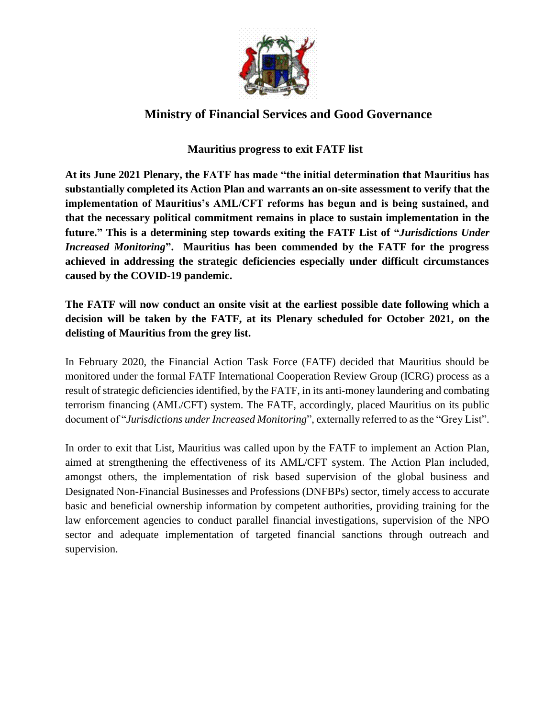

## **Ministry of Financial Services and Good Governance**

## **Mauritius progress to exit FATF list**

**At its June 2021 Plenary, the FATF has made "the initial determination that Mauritius has substantially completed its Action Plan and warrants an on-site assessment to verify that the implementation of Mauritius's AML/CFT reforms has begun and is being sustained, and that the necessary political commitment remains in place to sustain implementation in the future." This is a determining step towards exiting the FATF List of "***Jurisdictions Under Increased Monitoring***". Mauritius has been commended by the FATF for the progress achieved in addressing the strategic deficiencies especially under difficult circumstances caused by the COVID-19 pandemic.** 

**The FATF will now conduct an onsite visit at the earliest possible date following which a decision will be taken by the FATF, at its Plenary scheduled for October 2021, on the delisting of Mauritius from the grey list.**

In February 2020, the Financial Action Task Force (FATF) decided that Mauritius should be monitored under the formal FATF International Cooperation Review Group (ICRG) process as a result of strategic deficiencies identified, by the FATF, in its anti-money laundering and combating terrorism financing (AML/CFT) system. The FATF, accordingly, placed Mauritius on its public document of "*Jurisdictions under Increased Monitoring*", externally referred to as the "Grey List".

In order to exit that List, Mauritius was called upon by the FATF to implement an Action Plan, aimed at strengthening the effectiveness of its AML/CFT system. The Action Plan included, amongst others, the implementation of risk based supervision of the global business and Designated Non-Financial Businesses and Professions (DNFBPs) sector, timely access to accurate basic and beneficial ownership information by competent authorities, providing training for the law enforcement agencies to conduct parallel financial investigations, supervision of the NPO sector and adequate implementation of targeted financial sanctions through outreach and supervision.